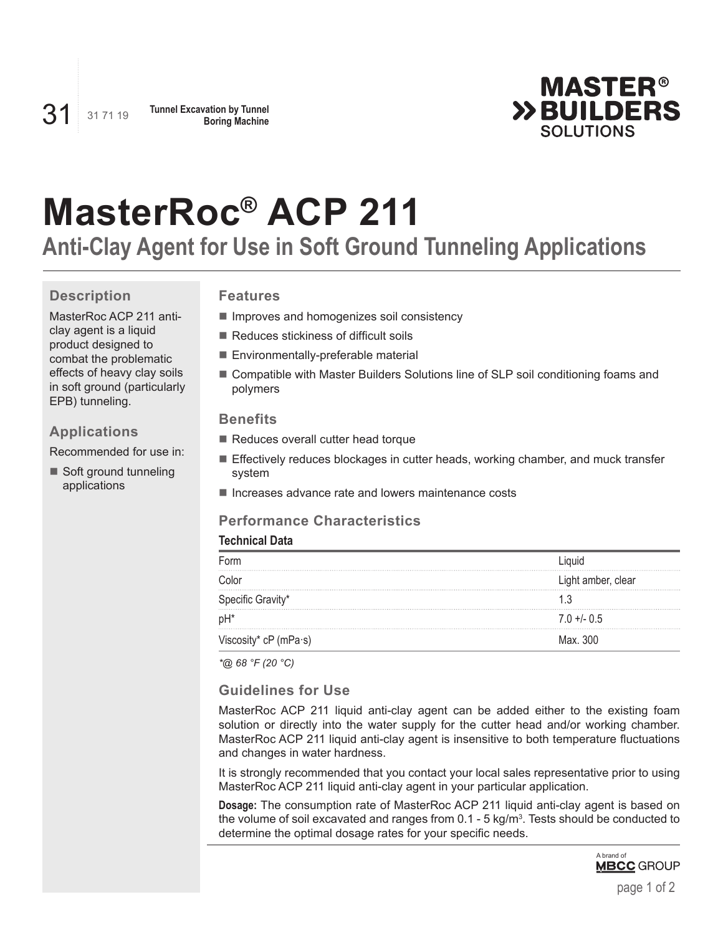

# **MasterRoc® ACP 211**

**Anti-Clay Agent for Use in Soft Ground Tunneling Applications**

# **Description**

MasterRoc ACP 211 anticlay agent is a liquid product designed to combat the problematic effects of heavy clay soils in soft ground (particularly EPB) tunneling.

#### **Applications**

Recommended for use in:

Soft ground tunneling applications

## **Features**

- **Improves and homogenizes soil consistency**
- Reduces stickiness of difficult soils
- Environmentally-preferable material
- Compatible with Master Builders Solutions line of SLP soil conditioning foams and polymers

#### **Benefits**

- Reduces overall cutter head torque
- Effectively reduces blockages in cutter heads, working chamber, and muck transfer system
- Increases advance rate and lowers maintenance costs

### **Performance Characteristics**

#### **Technical Data**

| Form                  | .iauid             |
|-----------------------|--------------------|
| Color                 | Light amber, clear |
| Specific Gravity*     |                    |
| pH <sup>*</sup>       | $7.0 + - 0.5$      |
| Viscosity* cP (mPa·s) | Max. 300           |

*\*@ 68 °F (20 °C)*

#### **Guidelines for Use**

MasterRoc ACP 211 liquid anti-clay agent can be added either to the existing foam solution or directly into the water supply for the cutter head and/or working chamber. MasterRoc ACP 211 liquid anti-clay agent is insensitive to both temperature fluctuations and changes in water hardness.

It is strongly recommended that you contact your local sales representative prior to using MasterRoc ACP 211 liquid anti-clay agent in your particular application.

**Dosage:** The consumption rate of MasterRoc ACP 211 liquid anti-clay agent is based on the volume of soil excavated and ranges from 0.1 - 5 kg/m $^3$ . Tests should be conducted to determine the optimal dosage rates for your specific needs.